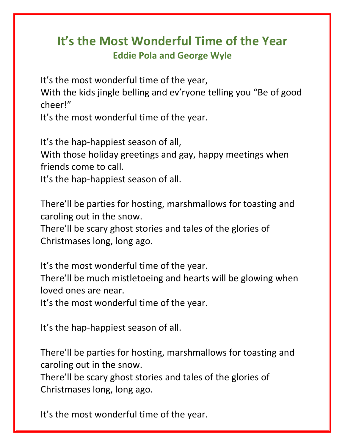# **It's the Most Wonderful Time of the Year Eddie Pola and George Wyle**

It's the most wonderful time of the year,

With the kids jingle belling and ev'ryone telling you "Be of good cheer!"

It's the most wonderful time of the year.

It's the hap-happiest season of all, With those holiday greetings and gay, happy meetings when friends come to call.

It's the hap-happiest season of all.

There'll be parties for hosting, marshmallows for toasting and caroling out in the snow.

There'll be scary ghost stories and tales of the glories of Christmases long, long ago.

It's the most wonderful time of the year.

There'll be much mistletoeing and hearts will be glowing when loved ones are near.

It's the most wonderful time of the year.

It's the hap-happiest season of all.

There'll be parties for hosting, marshmallows for toasting and caroling out in the snow.

There'll be scary ghost stories and tales of the glories of Christmases long, long ago.

It's the most wonderful time of the year.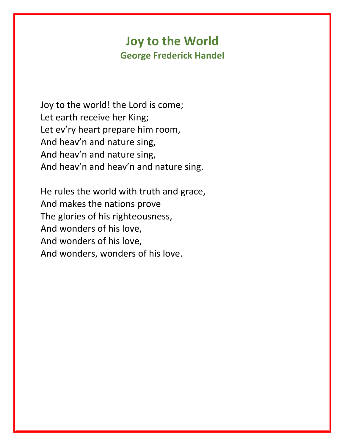## **Joy to the World George Frederick Handel**

Joy to the world! the Lord is come; Let earth receive her King; Let ev'ry heart prepare him room, And heav'n and nature sing, And heav'n and nature sing, And heav'n and heav'n and nature sing.

He rules the world with truth and grace, And makes the nations prove The glories of his righteousness, And wonders of his love, And wonders of his love, And wonders, wonders of his love.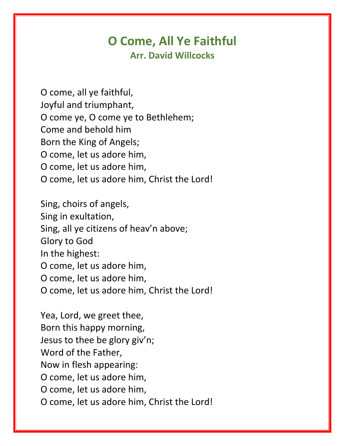#### **O Come, All Ye Faithful Arr. David Willcocks**

O come, all ye faithful, Joyful and triumphant, O come ye, O come ye to Bethlehem; Come and behold him Born the King of Angels; O come, let us adore him, O come, let us adore him, O come, let us adore him, Christ the Lord!

Sing, choirs of angels, Sing in exultation, Sing, all ye citizens of heav'n above; Glory to God In the highest: O come, let us adore him, O come, let us adore him, O come, let us adore him, Christ the Lord!

Yea, Lord, we greet thee, Born this happy morning, Jesus to thee be glory giv'n; Word of the Father, Now in flesh appearing: O come, let us adore him, O come, let us adore him, O come, let us adore him, Christ the Lord!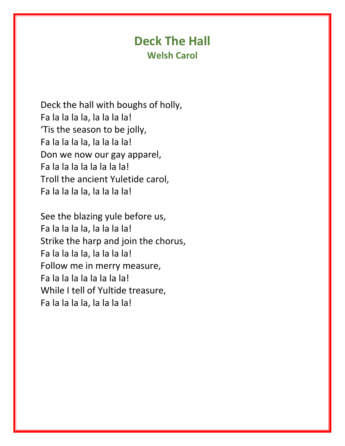#### **Deck The Hall Welsh Carol**

Deck the hall with boughs of holly, Fa la la la la, la la la la! 'Tis the season to be jolly, Fa la la la la, la la la la! Don we now our gay apparel, Fa la la la la la la la la! Troll the ancient Yuletide carol, Fa la la la la, la la la la!

See the blazing yule before us, Fa la la la la, la la la la! Strike the harp and join the chorus, Fa la la la la, la la la la! Follow me in merry measure, Fa la la la la la la la la! While I tell of Yultide treasure, Fa la la la la, la la la la!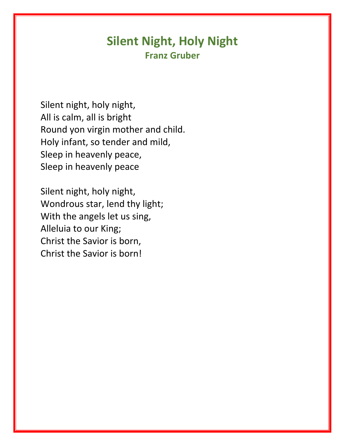### **Silent Night, Holy Night Franz Gruber**

Silent night, holy night, All is calm, all is bright Round yon virgin mother and child. Holy infant, so tender and mild, Sleep in heavenly peace, Sleep in heavenly peace

Silent night, holy night, Wondrous star, lend thy light; With the angels let us sing, Alleluia to our King; Christ the Savior is born, Christ the Savior is born!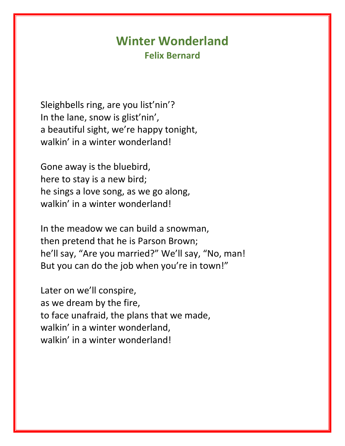#### **Winter Wonderland Felix Bernard**

Sleighbells ring, are you list'nin'? In the lane, snow is glist'nin', a beautiful sight, we're happy tonight, walkin' in a winter wonderland!

Gone away is the bluebird, here to stay is a new bird; he sings a love song, as we go along, walkin' in a winter wonderland!

In the meadow we can build a snowman, then pretend that he is Parson Brown; he'll say, "Are you married?" We'll say, "No, man! But you can do the job when you're in town!"

Later on we'll conspire, as we dream by the fire, to face unafraid, the plans that we made, walkin' in a winter wonderland, walkin' in a winter wonderland!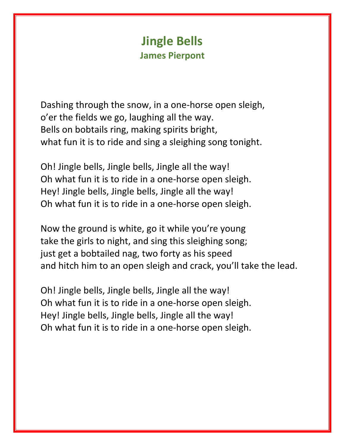## **Jingle Bells James Pierpont**

Dashing through the snow, in a one-horse open sleigh, o'er the fields we go, laughing all the way. Bells on bobtails ring, making spirits bright, what fun it is to ride and sing a sleighing song tonight.

Oh! Jingle bells, Jingle bells, Jingle all the way! Oh what fun it is to ride in a one-horse open sleigh. Hey! Jingle bells, Jingle bells, Jingle all the way! Oh what fun it is to ride in a one-horse open sleigh.

Now the ground is white, go it while you're young take the girls to night, and sing this sleighing song; just get a bobtailed nag, two forty as his speed and hitch him to an open sleigh and crack, you'll take the lead.

Oh! Jingle bells, Jingle bells, Jingle all the way! Oh what fun it is to ride in a one-horse open sleigh. Hey! Jingle bells, Jingle bells, Jingle all the way! Oh what fun it is to ride in a one-horse open sleigh.